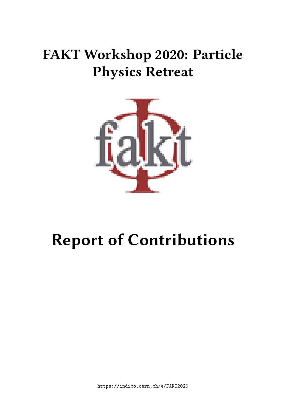# **FAKT Workshop 2020: Particle Physics Retreat**



# **Report of Contributions**

https://indico.cern.ch/e/FAKT2020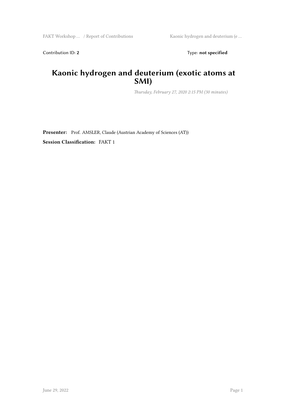Contribution ID: 2 Type: **not specified** 

#### **Kaonic hydrogen and deuterium (exotic atoms at SMI)**

*Thursday, February 27, 2020 2:15 PM (30 minutes)*

**Presenter:** Prof. AMSLER, Claude (Austrian Academy of Sciences (AT)) **Session Classification:** FAKT 1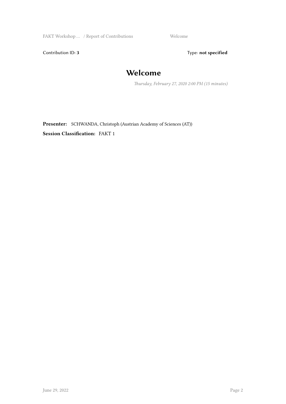FAKT Workshop ... / Report of Contributions Welcome

Contribution ID: 3 Type: **not specified** 

## **Welcome**

*Thursday, February 27, 2020 2:00 PM (15 minutes)*

**Presenter:** SCHWANDA, Christoph (Austrian Academy of Sciences (AT)) **Session Classification:** FAKT 1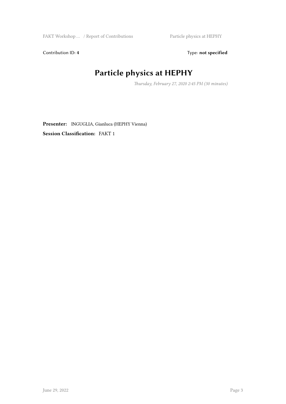Contribution ID: 4 Type: **not specified** 

# **Particle physics at HEPHY**

*Thursday, February 27, 2020 2:45 PM (30 minutes)*

**Presenter:** INGUGLIA, Gianluca (HEPHY Vienna) **Session Classification:** FAKT 1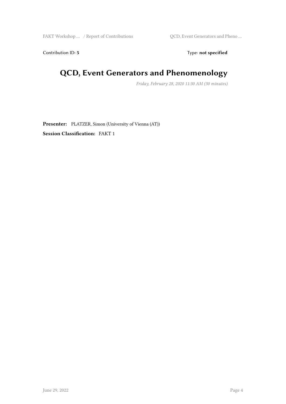FAKT Workshop ... / Report of Contributions  $QCD$ , Event Generators and Pheno ...

Contribution ID: 5 Type: **not specified** 

## **QCD, Event Generators and Phenomenology**

*Friday, February 28, 2020 11:30 AM (30 minutes)*

**Presenter:** PLATZER, Simon (University of Vienna (AT)) **Session Classification:** FAKT 1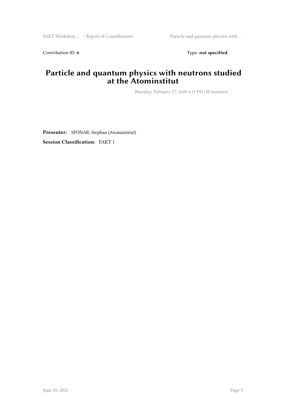Contribution ID: 6 Type: **not specified** 

#### **Particle and quantum physics with neutrons studied at the Atominstitut**

*Thursday, February 27, 2020 4:15 PM (30 minutes)*

**Presenter:** SPONAR, Stephan (Atominstitut) **Session Classification:** FAKT 1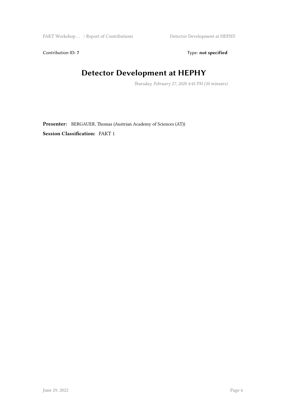Contribution ID: 7 Type: **not specified** 

#### **Detector Development at HEPHY**

*Thursday, February 27, 2020 4:45 PM (30 minutes)*

**Presenter:** BERGAUER, Thomas (Austrian Academy of Sciences (AT)) **Session Classification:** FAKT 1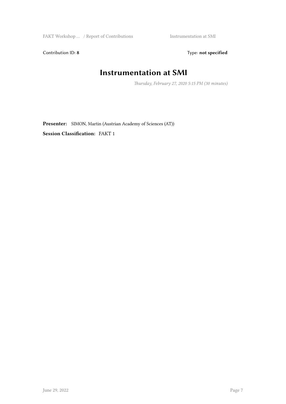Contribution ID: 8 Type: **not specified** 

#### **Instrumentation at SMI**

*Thursday, February 27, 2020 5:15 PM (30 minutes)*

**Presenter:** SIMON, Martin (Austrian Academy of Sciences (AT)) **Session Classification:** FAKT 1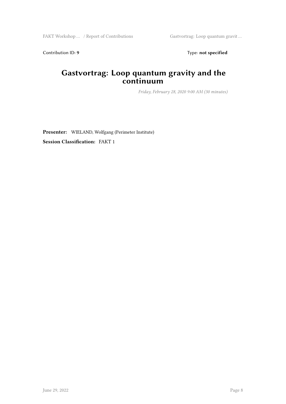Contribution ID: 9 Type: **not specified** 

#### **Gastvortrag: Loop quantum gravity and the continuum**

*Friday, February 28, 2020 9:00 AM (30 minutes)*

**Presenter:** WIELAND, Wolfgang (Perimeter Institute) **Session Classification:** FAKT 1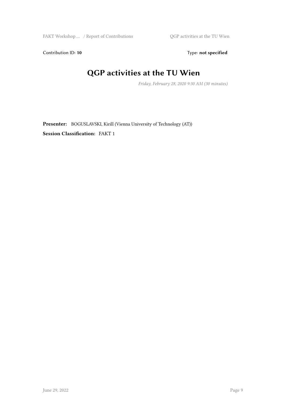Contribution ID: 10 Type: not specified

#### **QGP activities at the TU Wien**

*Friday, February 28, 2020 9:30 AM (30 minutes)*

**Presenter:** BOGUSLAVSKI, Kirill (Vienna University of Technology (AT)) **Session Classification:** FAKT 1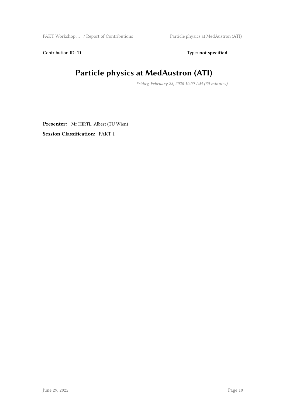Contribution ID: 11 Type: **not specified** 

# **Particle physics at MedAustron (ATI)**

*Friday, February 28, 2020 10:00 AM (30 minutes)*

**Presenter:** Mr HIRTL, Albert (TU Wien) **Session Classification:** FAKT 1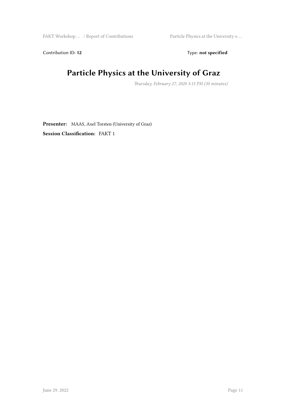Contribution ID: 12 Type: **not specified** 

## **Particle Physics at the University of Graz**

*Thursday, February 27, 2020 3:15 PM (30 minutes)*

**Presenter:** MAAS, Axel Torsten (University of Graz) **Session Classification:** FAKT 1